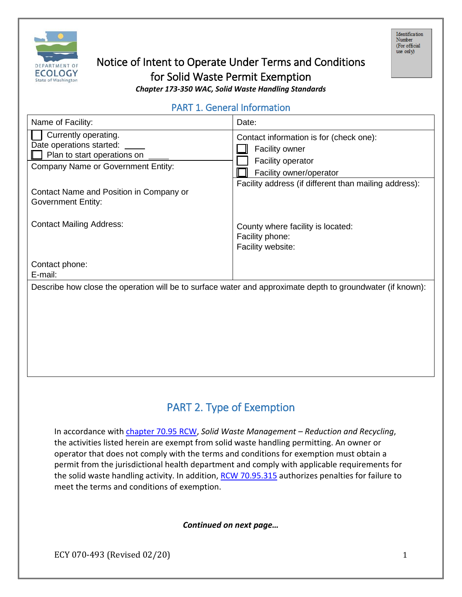

# Notice of Intent to Operate Under Terms and Conditions for Solid Waste Permit Exemption

*Chapter 173-350 WAC, Solid Waste Handling Standards*

# PART 1. General Information

| Name of Facility:                                                                                                            | Date:                                                                                                                                                                     |  |  |  |
|------------------------------------------------------------------------------------------------------------------------------|---------------------------------------------------------------------------------------------------------------------------------------------------------------------------|--|--|--|
| Currently operating.<br>Date operations started:<br>Plan to start operations on<br><b>Company Name or Government Entity:</b> | Contact information is for (check one):<br><b>Facility owner</b><br>Facility operator<br>Facility owner/operator<br>Facility address (if different than mailing address): |  |  |  |
| Contact Name and Position in Company or<br><b>Government Entity:</b>                                                         |                                                                                                                                                                           |  |  |  |
| <b>Contact Mailing Address:</b>                                                                                              | County where facility is located:<br>Facility phone:<br>Facility website:                                                                                                 |  |  |  |
| Contact phone:<br>E-mail:                                                                                                    |                                                                                                                                                                           |  |  |  |
| Describe how close the operation will be to surface water and approximate depth to groundwater (if known):                   |                                                                                                                                                                           |  |  |  |
|                                                                                                                              |                                                                                                                                                                           |  |  |  |
|                                                                                                                              |                                                                                                                                                                           |  |  |  |
|                                                                                                                              |                                                                                                                                                                           |  |  |  |

# PART 2. Type of Exemption

In accordance with [chapter 70.95 RCW,](http://apps.leg.wa.gov/RCW/default.aspx?cite=70.95) *Solid Waste Management – Reduction and Recycling*, the activities listed herein are exempt from solid waste handling permitting. An owner or operator that does not comply with the terms and conditions for exemption must obtain a permit from the jurisdictional health department and comply with applicable requirements for the solid waste handling activity. In addition, [RCW 70.95.315](http://apps.leg.wa.gov/RCW/default.aspx?cite=70.95.315) authorizes penalties for failure to meet the terms and conditions of exemption.

#### *Continued on next page…*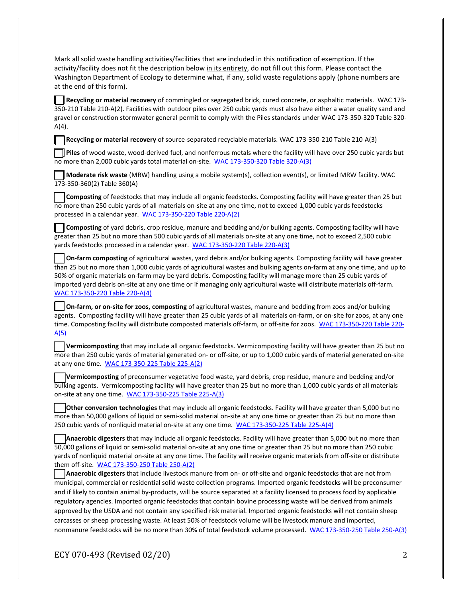Mark all solid waste handling activities/facilities that are included in this notification of exemption. If the activity/facility does not fit the description below in its entirety, do not fill out this form. Please contact the Washington Department of Ecology to determine what, if any, solid waste regulations apply (phone numbers are at the end of this form).

**Recycling or material recovery** of commingled or segregated brick, cured concrete, or asphaltic materials. WAC 173- 350-210 Table 210-A(2). Facilities with outdoor piles over 250 cubic yards must also have either a water quality sand and gravel or construction stormwater general permit to comply with the Piles standards under WAC 173-350-320 Table 320- A(4).

**Recycling or material recovery** of source-separated recyclable materials. WAC 173-350-210 Table 210-A(3)

**Piles** of wood waste, wood-derived fuel, and nonferrous metals where the facility will have over 250 cubic yards but no more than 2,000 cubic yards total material on-site. [WAC 173-350-320 Table 320-A\(3\)](http://apps.leg.wa.gov/WAC/default.aspx?cite=173-350-320)

**Moderate risk waste** (MRW) handling using a mobile system(s), collection event(s), or limited MRW facility. WAC 173-350-360(2) Table 360(A)

**Composting** of feedstocks that may include all organic feedstocks. Composting facility will have greater than 25 but no more than 250 cubic yards of all materials on-site at any one time, not to exceed 1,000 cubic yards feedstocks processed in a calendar year. [WAC 173-350-220 Table 220-A\(2\)](http://apps.leg.wa.gov/WAC/default.aspx?cite=173-350-220)

**Composting** of yard debris, crop residue, manure and bedding and/or bulking agents. Composting facility will have greater than 25 but no more than 500 cubic yards of all materials on-site at any one time, not to exceed 2,500 cubic yards feedstocks processed in a calendar year. [WAC 173-350-220 Table 220-A\(3\)](http://apps.leg.wa.gov/WAC/default.aspx?cite=173-350-220)

**On-farm composting** of agricultural wastes, yard debris and/or bulking agents. Composting facility will have greater than 25 but no more than 1,000 cubic yards of agricultural wastes and bulking agents on-farm at any one time, and up to 50% of organic materials on-farm may be yard debris. Composting facility will manage more than 25 cubic yards of imported yard debris on-site at any one time or if managing only agricultural waste will distribute materials off-farm. [WAC 173-350-220 Table 220-A\(4\)](http://apps.leg.wa.gov/WAC/default.aspx?cite=173-350-220)

**On-farm, or on-site for zoos, composting** of agricultural wastes, manure and bedding from zoos and/or bulking agents. Composting facility will have greater than 25 cubic yards of all materials on-farm, or on-site for zoos, at any one time. Composting facility will distribute composted materials off-farm, or off-site for zoos. [WAC 173-350-220 Table 220-](http://apps.leg.wa.gov/WAC/default.aspx?cite=173-350-220)  $A(5)$ 

**Vermicomposting** that may include all organic feedstocks. Vermicomposting facility will have greater than 25 but no more than 250 cubic yards of material generated on- or off-site, or up to 1,000 cubic yards of material generated on-site at any one time. [WAC 173-350-225 Table 225-A\(2\)](http://apps.leg.wa.gov/WAC/default.aspx?cite=173-350-225)

**Vermicomposting** of preconsumer vegetative food waste, yard debris, crop residue, manure and bedding and/or bulking agents. Vermicomposting facility will have greater than 25 but no more than 1,000 cubic yards of all materials on-site at any one time. [WAC 173-350-225 Table 225-A\(3\)](http://apps.leg.wa.gov/WAC/default.aspx?cite=173-350-225)

**Other conversion technologies** that may include all organic feedstocks. Facility will have greater than 5,000 but no more than 50,000 gallons of liquid or semi-solid material on-site at any one time or greater than 25 but no more than 250 cubic yards of nonliquid material on-site at any one time. [WAC 173-350-225 Table 225-A\(4\)](http://apps.leg.wa.gov/WAC/default.aspx?cite=173-350-225)

**Anaerobic digesters** that may include all organic feedstocks. Facility will have greater than 5,000 but no more than 50,000 gallons of liquid or semi-solid material on-site at any one time or greater than 25 but no more than 250 cubic yards of nonliquid material on-site at any one time. The facility will receive organic materials from off-site or distribute them off-site. [WAC 173-350-250 Table 250-A\(2\)](http://apps.leg.wa.gov/WAC/default.aspx?cite=173-350-250)

**Anaerobic digesters** that include livestock manure from on- or off-site and organic feedstocks that are not from municipal, commercial or residential solid waste collection programs. Imported organic feedstocks will be preconsumer and if likely to contain animal by-products, will be source separated at a facility licensed to process food by applicable regulatory agencies. Imported organic feedstocks that contain bovine processing waste will be derived from animals approved by the USDA and not contain any specified risk material. Imported organic feedstocks will not contain sheep carcasses or sheep processing waste. At least 50% of feedstock volume will be livestock manure and imported, nonmanure feedstocks will be no more than 30% of total feedstock volume processed. [WAC 173-350-250 Table 250-A\(3\)](http://apps.leg.wa.gov/WAC/default.aspx?cite=173-350-250)

ECY 070-493 (Revised 02/20) 2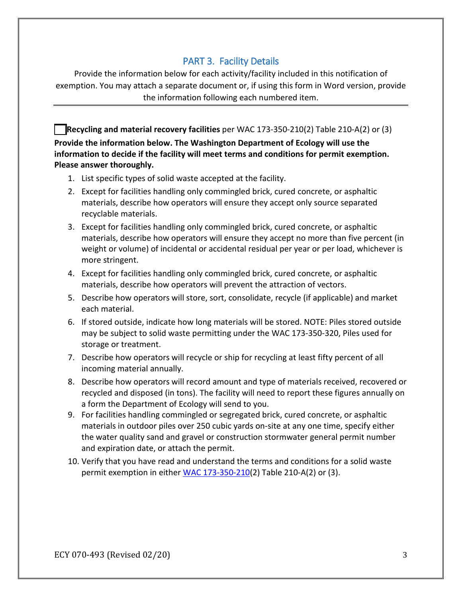# PART 3. Facility Details

Provide the information below for each activity/facility included in this notification of exemption. You may attach a separate document or, if using this form in Word version, provide the information following each numbered item.

**Recycling and material recovery facilities** per WAC 173-350-210(2) Table 210-A(2) or (3) **Provide the information below. The Washington Department of Ecology will use the information to decide if the facility will meet terms and conditions for permit exemption. Please answer thoroughly.**

- 1. List specific types of solid waste accepted at the facility.
- 2. Except for facilities handling only commingled brick, cured concrete, or asphaltic materials, describe how operators will ensure they accept only source separated recyclable materials.
- 3. Except for facilities handling only commingled brick, cured concrete, or asphaltic materials, describe how operators will ensure they accept no more than five percent (in weight or volume) of incidental or accidental residual per year or per load, whichever is more stringent.
- 4. Except for facilities handling only commingled brick, cured concrete, or asphaltic materials, describe how operators will prevent the attraction of vectors.
- 5. Describe how operators will store, sort, consolidate, recycle (if applicable) and market each material.
- 6. If stored outside, indicate how long materials will be stored. NOTE: Piles stored outside may be subject to solid waste permitting under the WAC 173-350-320, Piles used for storage or treatment.
- 7. Describe how operators will recycle or ship for recycling at least fifty percent of all incoming material annually.
- 8. Describe how operators will record amount and type of materials received, recovered or recycled and disposed (in tons). The facility will need to report these figures annually on a form the Department of Ecology will send to you.
- 9. For facilities handling commingled or segregated brick, cured concrete, or asphaltic materials in outdoor piles over 250 cubic yards on-site at any one time, specify either the water quality sand and gravel or construction stormwater general permit number and expiration date, or attach the permit.
- 10. Verify that you have read and understand the terms and conditions for a solid waste permit exemption in either [WAC 173-350-210\(](http://apps.leg.wa.gov/WAC/default.aspx?cite=173-350-210)2) Table 210-A(2) or (3).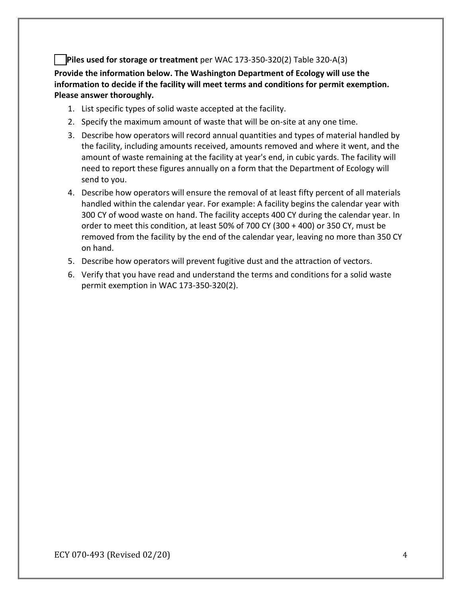#### **Piles used for storage or treatment** per WAC 173-350-320(2) Table 320-A(3)

**Provide the information below. The Washington Department of Ecology will use the information to decide if the facility will meet terms and conditions for permit exemption. Please answer thoroughly.**

- 1. List specific types of solid waste accepted at the facility.
- 2. Specify the maximum amount of waste that will be on-site at any one time.
- 3. Describe how operators will record annual quantities and types of material handled by the facility, including amounts received, amounts removed and where it went, and the amount of waste remaining at the facility at year's end, in cubic yards. The facility will need to report these figures annually on a form that the Department of Ecology will send to you.
- 4. Describe how operators will ensure the removal of at least fifty percent of all materials handled within the calendar year. For example: A facility begins the calendar year with 300 CY of wood waste on hand. The facility accepts 400 CY during the calendar year. In order to meet this condition, at least 50% of 700 CY (300 + 400) or 350 CY, must be removed from the facility by the end of the calendar year, leaving no more than 350 CY on hand.
- 5. Describe how operators will prevent fugitive dust and the attraction of vectors.
- 6. Verify that you have read and understand the terms and conditions for a solid waste permit exemption in WAC 173-350-320(2).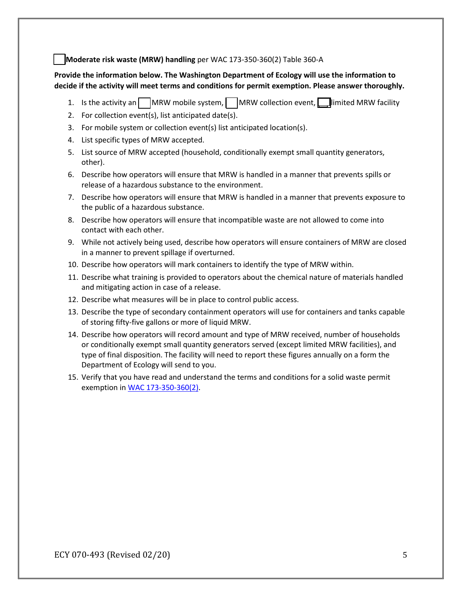#### **Moderate risk waste (MRW) handling** per WAC 173-350-360(2) Table 360-A

#### **Provide the information below. The Washington Department of Ecology will use the information to decide if the activity will meet terms and conditions for permit exemption. Please answer thoroughly.**

- 1. Is the activity an  $\vert$  MRW mobile system,  $\vert$  MRW collection event,  $\Box$  limited MRW facility
- 2. For collection event(s), list anticipated date(s).
- 3. For mobile system or collection event(s) list anticipated location(s).
- 4. List specific types of MRW accepted.
- 5. List source of MRW accepted (household, conditionally exempt small quantity generators, other).
- 6. Describe how operators will ensure that MRW is handled in a manner that prevents spills or release of a hazardous substance to the environment.
- 7. Describe how operators will ensure that MRW is handled in a manner that prevents exposure to the public of a hazardous substance.
- 8. Describe how operators will ensure that incompatible waste are not allowed to come into contact with each other.
- 9. While not actively being used, describe how operators will ensure containers of MRW are closed in a manner to prevent spillage if overturned.
- 10. Describe how operators will mark containers to identify the type of MRW within.
- 11. Describe what training is provided to operators about the chemical nature of materials handled and mitigating action in case of a release.
- 12. Describe what measures will be in place to control public access.
- 13. Describe the type of secondary containment operators will use for containers and tanks capable of storing fifty-five gallons or more of liquid MRW.
- 14. Describe how operators will record amount and type of MRW received, number of households or conditionally exempt small quantity generators served (except limited MRW facilities), and type of final disposition. The facility will need to report these figures annually on a form the Department of Ecology will send to you.
- 15. Verify that you have read and understand the terms and conditions for a solid waste permit exemption i[n WAC 173-350-360\(2\).](http://apps.leg.wa.gov/WAC/default.aspx?cite=173-350-360)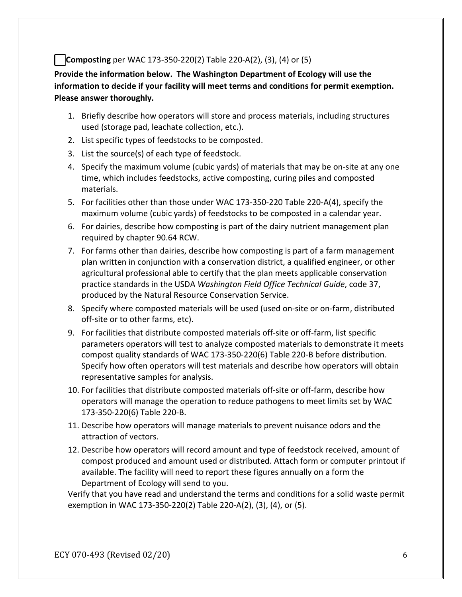### **Composting** per WAC 173-350-220(2) Table 220-A(2), (3), (4) or (5)

**Provide the information below. The Washington Department of Ecology will use the information to decide if your facility will meet terms and conditions for permit exemption. Please answer thoroughly.**

- 1. Briefly describe how operators will store and process materials, including structures used (storage pad, leachate collection, etc.).
- 2. List specific types of feedstocks to be composted.
- 3. List the source(s) of each type of feedstock.
- 4. Specify the maximum volume (cubic yards) of materials that may be on-site at any one time, which includes feedstocks, active composting, curing piles and composted materials.
- 5. For facilities other than those under WAC 173-350-220 Table 220-A(4), specify the maximum volume (cubic yards) of feedstocks to be composted in a calendar year.
- 6. For dairies, describe how composting is part of the dairy nutrient management plan required by chapter 90.64 RCW.
- 7. For farms other than dairies, describe how composting is part of a farm management plan written in conjunction with a conservation district, a qualified engineer, or other agricultural professional able to certify that the plan meets applicable conservation practice standards in the USDA *Washington Field Office Technical Guide*, code 37, produced by the Natural Resource Conservation Service.
- 8. Specify where composted materials will be used (used on-site or on-farm, distributed off-site or to other farms, etc).
- 9. For facilities that distribute composted materials off-site or off-farm, list specific parameters operators will test to analyze composted materials to demonstrate it meets compost quality standards of WAC 173-350-220(6) Table 220-B before distribution. Specify how often operators will test materials and describe how operators will obtain representative samples for analysis.
- 10. For facilities that distribute composted materials off-site or off-farm, describe how operators will manage the operation to reduce pathogens to meet limits set by WAC 173-350-220(6) Table 220-B.
- 11. Describe how operators will manage materials to prevent nuisance odors and the attraction of vectors.
- 12. Describe how operators will record amount and type of feedstock received, amount of compost produced and amount used or distributed. Attach form or computer printout if available. The facility will need to report these figures annually on a form the Department of Ecology will send to you.

Verify that you have read and understand the terms and conditions for a solid waste permit exemption in WAC 173-350-220(2) Table 220-A(2), (3), (4), or (5).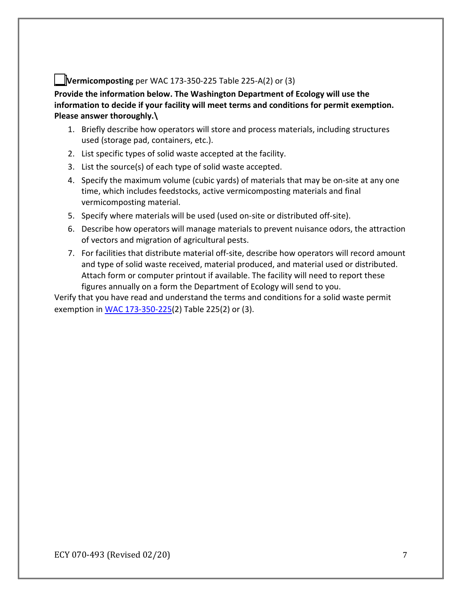## **Vermicomposting** per WAC 173-350-225 Table 225-A(2) or (3)

**Provide the information below. The Washington Department of Ecology will use the information to decide if your facility will meet terms and conditions for permit exemption. Please answer thoroughly.\** 

- 1. Briefly describe how operators will store and process materials, including structures used (storage pad, containers, etc.).
- 2. List specific types of solid waste accepted at the facility.
- 3. List the source(s) of each type of solid waste accepted.
- 4. Specify the maximum volume (cubic yards) of materials that may be on-site at any one time, which includes feedstocks, active vermicomposting materials and final vermicomposting material.
- 5. Specify where materials will be used (used on-site or distributed off-site).
- 6. Describe how operators will manage materials to prevent nuisance odors, the attraction of vectors and migration of agricultural pests.
- 7. For facilities that distribute material off-site, describe how operators will record amount and type of solid waste received, material produced, and material used or distributed. Attach form or computer printout if available. The facility will need to report these figures annually on a form the Department of Ecology will send to you.

Verify that you have read and understand the terms and conditions for a solid waste permit exemption in [WAC 173-350-225\(](http://apps.leg.wa.gov/WAC/default.aspx?cite=173-350-225)2) Table 225(2) or (3).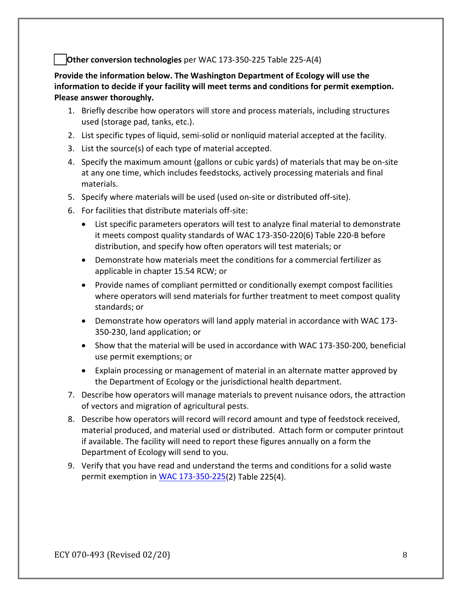#### **Other conversion technologies** per WAC 173-350-225 Table 225-A(4)

**Provide the information below. The Washington Department of Ecology will use the information to decide if your facility will meet terms and conditions for permit exemption. Please answer thoroughly.**

- 1. Briefly describe how operators will store and process materials, including structures used (storage pad, tanks, etc.).
- 2. List specific types of liquid, semi-solid or nonliquid material accepted at the facility.
- 3. List the source(s) of each type of material accepted.
- 4. Specify the maximum amount (gallons or cubic yards) of materials that may be on-site at any one time, which includes feedstocks, actively processing materials and final materials.
- 5. Specify where materials will be used (used on-site or distributed off-site).
- 6. For facilities that distribute materials off-site:
	- List specific parameters operators will test to analyze final material to demonstrate it meets compost quality standards of WAC 173-350-220(6) Table 220-B before distribution, and specify how often operators will test materials; or
	- Demonstrate how materials meet the conditions for a commercial fertilizer as applicable in chapter 15.54 RCW; or
	- Provide names of compliant permitted or conditionally exempt compost facilities where operators will send materials for further treatment to meet compost quality standards; or
	- Demonstrate how operators will land apply material in accordance with WAC 173- 350-230, land application; or
	- Show that the material will be used in accordance with WAC 173-350-200, beneficial use permit exemptions; or
	- Explain processing or management of material in an alternate matter approved by the Department of Ecology or the jurisdictional health department.
- 7. Describe how operators will manage materials to prevent nuisance odors, the attraction of vectors and migration of agricultural pests.
- 8. Describe how operators will record will record amount and type of feedstock received, material produced, and material used or distributed. Attach form or computer printout if available. The facility will need to report these figures annually on a form the Department of Ecology will send to you.
- 9. Verify that you have read and understand the terms and conditions for a solid waste permit exemption in [WAC 173-350-225\(](http://apps.leg.wa.gov/WAC/default.aspx?cite=173-350-225)2) Table 225(4).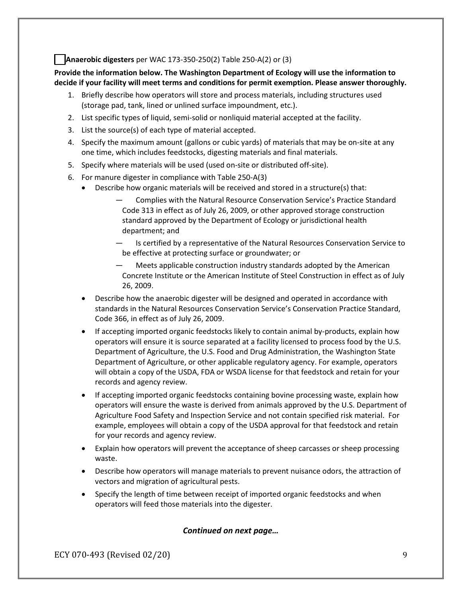#### **Anaerobic digesters** per WAC 173-350-250(2) Table 250-A(2) or (3)

**Provide the information below. The Washington Department of Ecology will use the information to decide if your facility will meet terms and conditions for permit exemption. Please answer thoroughly.**

- 1. Briefly describe how operators will store and process materials, including structures used (storage pad, tank, lined or unlined surface impoundment, etc.).
- 2. List specific types of liquid, semi-solid or nonliquid material accepted at the facility.
- 3. List the source(s) of each type of material accepted.
- 4. Specify the maximum amount (gallons or cubic yards) of materials that may be on-site at any one time, which includes feedstocks, digesting materials and final materials.
- 5. Specify where materials will be used (used on-site or distributed off-site).
- 6. For manure digester in compliance with Table 250-A(3)
	- Describe how organic materials will be received and stored in a structure(s) that:
		- ― Complies with the Natural Resource Conservation Service's Practice Standard Code 313 in effect as of July 26, 2009, or other approved storage construction standard approved by the Department of Ecology or jurisdictional health department; and
		- Is certified by a representative of the Natural Resources Conservation Service to be effective at protecting surface or groundwater; or
		- Meets applicable construction industry standards adopted by the American Concrete Institute or the American Institute of Steel Construction in effect as of July 26, 2009.
	- Describe how the anaerobic digester will be designed and operated in accordance with standards in the Natural Resources Conservation Service's Conservation Practice Standard, Code 366, in effect as of July 26, 2009.
	- If accepting imported organic feedstocks likely to contain animal by-products, explain how operators will ensure it is source separated at a facility licensed to process food by the U.S. Department of Agriculture, the U.S. Food and Drug Administration, the Washington State Department of Agriculture, or other applicable regulatory agency. For example, operators will obtain a copy of the USDA, FDA or WSDA license for that feedstock and retain for your records and agency review.
	- If accepting imported organic feedstocks containing bovine processing waste, explain how operators will ensure the waste is derived from animals approved by the U.S. Department of Agriculture Food Safety and Inspection Service and not contain specified risk material. For example, employees will obtain a copy of the USDA approval for that feedstock and retain for your records and agency review.
	- Explain how operators will prevent the acceptance of sheep carcasses or sheep processing waste.
	- Describe how operators will manage materials to prevent nuisance odors, the attraction of vectors and migration of agricultural pests.
	- Specify the length of time between receipt of imported organic feedstocks and when operators will feed those materials into the digester.

#### *Continued on next page…*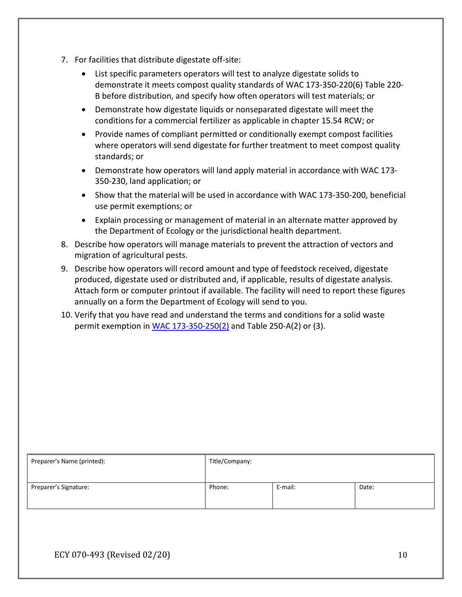- 7. For facilities that distribute digestate off-site:
	- List specific parameters operators will test to analyze digestate solids to demonstrate it meets compost quality standards of WAC 173-350-220(6) Table 220- B before distribution, and specify how often operators will test materials; or
	- Demonstrate how digestate liquids or nonseparated digestate will meet the conditions for a commercial fertilizer as applicable in chapter 15.54 RCW; or
	- Provide names of compliant permitted or conditionally exempt compost facilities where operators will send digestate for further treatment to meet compost quality standards; or
	- Demonstrate how operators will land apply material in accordance with WAC 173- 350-230, land application; or
	- Show that the material will be used in accordance with WAC 173-350-200, beneficial use permit exemptions; or
	- Explain processing or management of material in an alternate matter approved by the Department of Ecology or the jurisdictional health department.
- 8. Describe how operators will manage materials to prevent the attraction of vectors and migration of agricultural pests.
- 9. Describe how operators will record amount and type of feedstock received, digestate produced, digestate used or distributed and, if applicable, results of digestate analysis. Attach form or computer printout if available. The facility will need to report these figures annually on a form the Department of Ecology will send to you.
- 10. Verify that you have read and understand the terms and conditions for a solid waste permit exemption in WAC  $173-350-250(2)$  and Table 250-A(2) or (3).

| Preparer's Name (printed): | Title/Company: |         |       |
|----------------------------|----------------|---------|-------|
| Preparer's Signature:      | Phone:         | E-mail: | Date: |